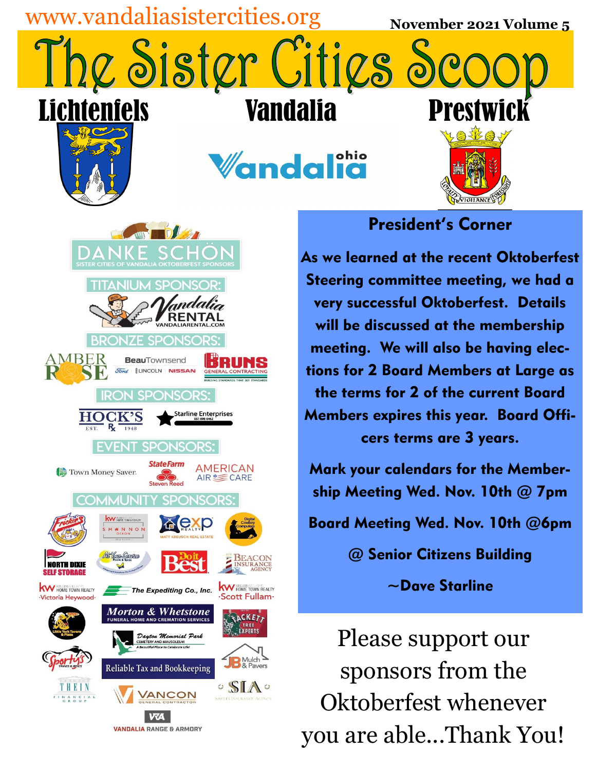

**VANDALIA RANGE & ARMORY** 

you are able...Thank You!